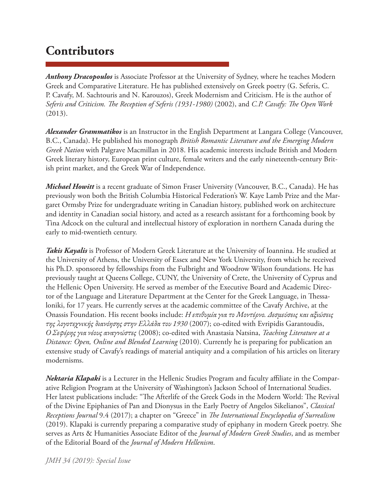## **Contributors**

*Anthony Dracopoulos* is Associate Professor at the University of Sydney, where he teaches Modern Greek and Comparative Literature. He has published extensively on Greek poetry (G. Seferis, C. P. Cavafy, M. Sachtouris and N. Karouzos), Greek Modernism and Criticism. He is the author of *Seferis and Criticism. The Reception of Seferis (1931-1980)* (2002), and *C.P. Cavafy: The Open Work* (2013).

*Alexander Grammatikos* is an Instructor in the English Department at Langara College (Vancouver, B.C., Canada). He published his monograph *British Romantic Literature and the Emerging Modern Greek Nation* with Palgrave Macmillan in 2018. His academic interests include British and Modern Greek literary history, European print culture, female writers and the early nineteenth-century British print market, and the Greek War of Independence.

*Michael Howitt* is a recent graduate of Simon Fraser University (Vancouver, B.C., Canada). He has previously won both the British Columbia Historical Federation's W. Kaye Lamb Prize and the Margaret Ormsby Prize for undergraduate writing in Canadian history, published work on architecture and identity in Canadian social history, and acted as a research assistant for a forthcoming book by Tina Adcock on the cultural and intellectual history of exploration in northern Canada during the early to mid-twentieth century.

*Takis Kayalis* is Professor of Modern Greek Literature at the University of Ioannina. He studied at the University of Athens, the University of Essex and New York University, from which he received his Ph.D. sponsored by fellowships from the Fulbright and Woodrow Wilson foundations. He has previously taught at Queens College, CUNY, the University of Crete, the University of Cyprus and the Hellenic Open University. He served as member of the Executive Board and Academic Director of the Language and Literature Department at the Center for the Greek Language, in Thessaloniki, for 17 years. He currently serves at the academic committee of the Cavafy Archive, at the Onassis Foundation. His recent books include: *Η επιθυμία για το Μοντέρνο. Δεσμεύσεις και αξιώσεις της λογοτεχνικής διανόησης στην Ελλάδα του 1930* (2007); co-edited with Evripidis Garantoudis, *Ο Σεφέρης για νέους αναγνώστες* (2008); co-edited with Anastasia Natsina, *Teaching Literature at a Distance: Open, Online and Blended Learning* (2010). Currently he is preparing for publication an extensive study of Cavafy's readings of material antiquity and a compilation of his articles on literary modernisms.

*Nektaria Klapaki* is a Lecturer in the Hellenic Studies Program and faculty affiliate in the Comparative Religion Program at the University of Washington's Jackson School of International Studies. Her latest publications include: "The Afterlife of the Greek Gods in the Modern World: The Revival of the Divine Epiphanies of Pan and Dionysus in the Early Poetry of Angelos Sikelianos", *Classical Receptions Journal* 9.4 (2017); a chapter on "Greece" in *The International Encyclopedia of Surrealism* (2019). Klapaki is currently preparing a comparative study of epiphany in modern Greek poetry. She serves as Arts & Humanities Associate Editor of the *Journal of Modern Greek Studies*, and as member of the Editorial Board of the *Journal of Modern Hellenism*.

## *JMH 34 (2019): Special Issue*